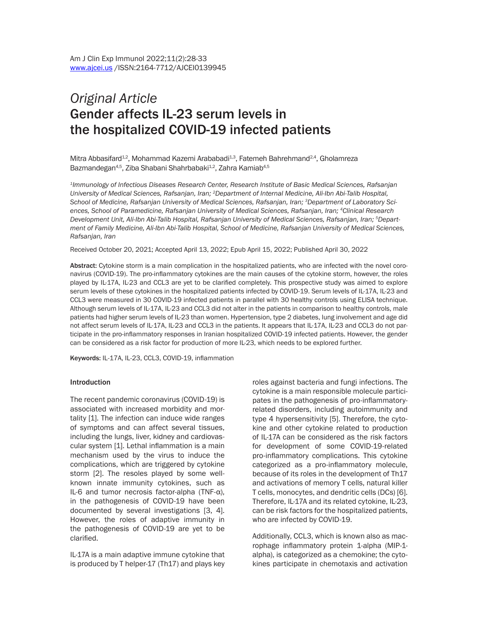# *Original Article* Gender affects IL-23 serum levels in the hospitalized COVID-19 infected patients

Mitra Abbasifard<sup>1,2</sup>, Mohammad Kazemi Arababadi<sup>1,3</sup>, Fatemeh Bahrehmand<sup>2,4</sup>, Gholamreza Bazmandegan<sup>4,5</sup>, Ziba Shabani Shahrbabaki<sup>1,2</sup>, Zahra Kamiab<sup>4,5</sup>

*1Immunology of Infectious Diseases Research Center, Research Institute of Basic Medical Sciences, Rafsanjan University of Medical Sciences, Rafsanjan, Iran; 2Department of Internal Medicine, Ali-Ibn Abi-Talib Hospital, School of Medicine, Rafsanjan University of Medical Sciences, Rafsanjan, Iran; 3Department of Laboratory Sciences, School of Paramedicine, Rafsanjan University of Medical Sciences, Rafsanjan, Iran; 4Clinical Research Development Unit, Ali-Ibn Abi-Talib Hospital, Rafsanjan University of Medical Sciences, Rafsanjan, Iran; 5Depart*ment of Family Medicine, Ali-Ibn Abi-Talib Hospital, School of Medicine, Rafsanjan University of Medical Sciences, *Rafsanjan, Iran*

Received October 20, 2021; Accepted April 13, 2022; Epub April 15, 2022; Published April 30, 2022

Abstract: Cytokine storm is a main complication in the hospitalized patients, who are infected with the novel coronavirus (COVID-19). The pro-inflammatory cytokines are the main causes of the cytokine storm, however, the roles played by IL-17A, IL-23 and CCL3 are yet to be clarified completely. This prospective study was aimed to explore serum levels of these cytokines in the hospitalized patients infected by COVID-19. Serum levels of IL-17A, IL-23 and CCL3 were measured in 30 COVID-19 infected patients in parallel with 30 healthy controls using ELISA technique. Although serum levels of IL-17A, IL-23 and CCL3 did not alter in the patients in comparison to healthy controls, male patients had higher serum levels of IL-23 than women. Hypertension, type 2 diabetes, lung involvement and age did not affect serum levels of IL-17A, IL-23 and CCL3 in the patients. It appears that IL-17A, IL-23 and CCL3 do not participate in the pro-inflammatory responses in Iranian hospitalized COVID-19 infected patients. However, the gender can be considered as a risk factor for production of more IL-23, which needs to be explored further.

Keywords: IL-17A, IL-23, CCL3, COVID-19, inflammation

#### Introduction

The recent pandemic coronavirus (COVID-19) is associated with increased morbidity and mortality [1]. The infection can induce wide ranges of symptoms and can affect several tissues, including the lungs, liver, kidney and cardiovascular system [1]. Lethal inflammation is a main mechanism used by the virus to induce the complications, which are triggered by cytokine storm [2]. The resoles played by some wellknown innate immunity cytokines, such as IL-6 and tumor necrosis factor-alpha (TNF-α), in the pathogenesis of COVID-19 have been documented by several investigations [3, 4]. However, the roles of adaptive immunity in the pathogenesis of COVID-19 are yet to be clarified.

IL-17A is a main adaptive immune cytokine that is produced by T helper-17 (Th17) and plays key roles against bacteria and fungi infections. The cytokine is a main responsible molecule participates in the pathogenesis of pro-inflammatoryrelated disorders, including autoimmunity and type 4 hypersensitivity [5]. Therefore, the cytokine and other cytokine related to production of IL-17A can be considered as the risk factors for development of some COVID-19-related pro-inflammatory complications. This cytokine categorized as a pro-inflammatory molecule, because of its roles in the development of Th17 and activations of memory T cells, natural killer T cells, monocytes, and dendritic cells (DCs) [6]. Therefore, IL-17A and its related cytokine, IL-23, can be risk factors for the hospitalized patients, who are infected by COVID-19.

Additionally, CCL3, which is known also as macrophage inflammatory protein 1-alpha (MIP-1 alpha), is categorized as a chemokine; the cytokines participate in chemotaxis and activation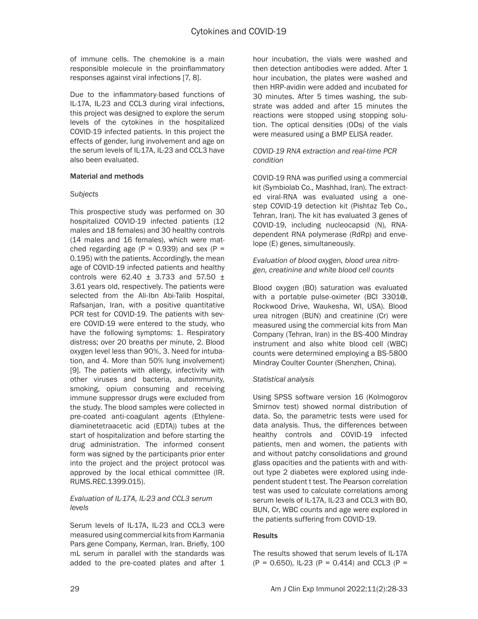of immune cells. The chemokine is a main responsible molecule in the proinflammatory responses against viral infections [7, 8].

Due to the inflammatory-based functions of IL-17A, IL-23 and CCL3 during viral infections, this project was designed to explore the serum levels of the cytokines in the hospitalized COVID-19 infected patients. In this project the effects of gender, lung involvement and age on the serum levels of IL-17A, IL-23 and CCL3 have also been evaluated.

### Material and methods

### *Subjects*

This prospective study was performed on 30 hospitalized COVID-19 infected patients (12 males and 18 females) and 30 healthy controls (14 males and 16 females), which were matched regarding age ( $P = 0.939$ ) and sex ( $P =$ 0.195) with the patients. Accordingly, the mean age of COVID-19 infected patients and healthy controls were 62.40  $\pm$  3.733 and 57.50  $\pm$ 3.61 years old, respectively. The patients were selected from the Ali-Ibn Abi-Talib Hospital, Rafsanjan, Iran, with a positive quantitative PCR test for COVID-19. The patients with severe COVID-19 were entered to the study, who have the following symptoms: 1. Respiratory distress; over 20 breaths per minute, 2. Blood oxygen level less than 90%, 3. Need for intubation, and 4. More than 50% lung involvement) [9]. The patients with allergy, infectivity with other viruses and bacteria, autoimmunity, smoking, opium consuming and receiving immune suppressor drugs were excluded from the study. The blood samples were collected in pre-coated anti-coagulant agents (Ethylenediaminetetraacetic acid (EDTA)) tubes at the start of hospitalization and before starting the drug administration. The informed consent form was signed by the participants prior enter into the project and the project protocol was approved by the local ethical committee (IR. RUMS.REC.1399.015).

### *Evaluation of IL-17A, IL-23 and CCL3 serum levels*

Serum levels of IL-17A, IL-23 and CCL3 were measured using commercial kits from Karmania Pars gene Company, Kerman, Iran. Briefly, 100 mL serum in parallel with the standards was added to the pre-coated plates and after 1 hour incubation, the vials were washed and then detection antibodies were added. After 1 hour incubation, the plates were washed and then HRP-avidin were added and incubated for 30 minutes. After 5 times washing, the substrate was added and after 15 minutes the reactions were stopped using stopping solution. The optical densities (ODs) of the vials were measured using a BMP ELISA reader.

#### *COVID-19 RNA extraction and real-time PCR condition*

COVID-19 RNA was purified using a commercial kit (Symbiolab Co., Mashhad, Iran). The extracted viral-RNA was evaluated using a onestep COVID-19 detection kit (Pishtaz Teb Co., Tehran, Iran). The kit has evaluated 3 genes of COVID-19, including nucleocapsid (N), RNAdependent RNA polymerase (RdRp) and envelope (E) genes, simultaneously.

## *Evaluation of blood oxygen, blood urea nitrogen, creatinine and white blood cell counts*

Blood oxygen (BO) saturation was evaluated with a portable pulse-oximeter (BCI 3301@, Rockwood Drive, Waukesha, WI, USA). Blood urea nitrogen (BUN) and creatinine (Cr) were measured using the commercial kits from Man Company (Tehran, Iran) in the BS-400 Mindray instrument and also white blood cell (WBC) counts were determined employing a BS-5800 Mindray Coulter Counter (Shenzhen, China).

# *Statistical analysis*

Using SPSS software version 16 (Kolmogorov Smirnov test) showed normal distribution of data. So, the parametric tests were used for data analysis. Thus, the differences between healthy controls and COVID-19 infected patients, men and women, the patients with and without patchy consolidations and ground glass opacities and the patients with and without type 2 diabetes were explored using independent student t test. The Pearson correlation test was used to calculate correlations among serum levels of IL-17A, IL-23 and CCL3 with BO, BUN, Cr, WBC counts and age were explored in the patients suffering from COVID-19.

# Results

The results showed that serum levels of IL-17A  $(P = 0.650)$ , IL-23  $(P = 0.414)$  and CCL3  $(P = 0.650)$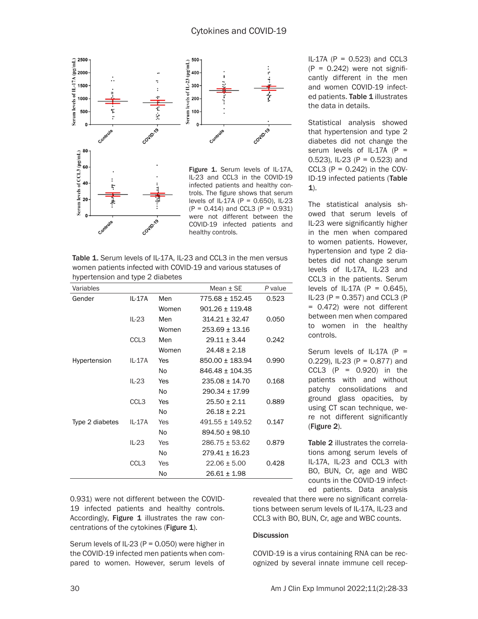

Table 1. Serum levels of IL-17A, IL-23 and CCL3 in the men versus women patients infected with COVID-19 and various statuses of hypertension and type 2 diabetes

| Variables       |                  |                | Mean $+$ SE         | P value |
|-----------------|------------------|----------------|---------------------|---------|
| Gender          | IL-17A           | Men            | 775.68 ± 152.45     | 0.523   |
|                 |                  | Women          | $901.26 \pm 119.48$ |         |
|                 | $IL-23$          | Men            | $314.21 \pm 32.47$  | 0.050   |
|                 |                  | Women          | 253.69 ± 13.16      |         |
|                 | CCL <sub>3</sub> | Men            | $29.11 + 3.44$      | 0.242   |
|                 |                  | Women          | $24.48 \pm 2.18$    |         |
| Hypertension    | IL-17A           | Yes            | 850.00 ± 183.94     | 0.990   |
|                 |                  | N <sub>o</sub> | $846.48 \pm 104.35$ |         |
|                 | $IL-23$          | Yes            | $235.08 \pm 14.70$  | 0.168   |
|                 |                  | N <sub>o</sub> | $290.34 \pm 17.99$  |         |
|                 | CCL3             | Yes            | $25.50 \pm 2.11$    | 0.889   |
|                 |                  | No             | $26.18 \pm 2.21$    |         |
| Type 2 diabetes | IL-17A           | Yes            | $491.55 \pm 149.52$ | 0.147   |
|                 |                  | No             | $894.50 \pm 98.10$  |         |
|                 | $IL-23$          | Yes            | $286.75 \pm 53.62$  | 0.879   |
|                 |                  | No             | $279.41 \pm 16.23$  |         |
|                 | CCL <sub>3</sub> | Yes            | $22.06 \pm 5.00$    | 0.428   |
|                 |                  | No             | $26.61 \pm 1.98$    |         |

0.931) were not different between the COVID-19 infected patients and healthy controls. Accordingly, Figure 1 illustrates the raw concentrations of the cytokines (Figure 1).

Serum levels of IL-23 (P = 0.050) were higher in the COVID-19 infected men patients when compared to women. However, serum levels of  $IL-17A (P = 0.523)$  and CCL3  $(P = 0.242)$  were not significantly different in the men and women COVID-19 infected patients. Table 1 illustrates the data in details.

Statistical analysis showed that hypertension and type 2 diabetes did not change the serum levels of IL-17A  $(P =$ 0.523), IL-23 (P = 0.523) and CCL3  $(P = 0.242)$  in the COV-ID-19 infected patients (Table 1).

The statistical analysis showed that serum levels of IL-23 were significantly higher in the men when compared to women patients. However, hypertension and type 2 diabetes did not change serum levels of IL-17A, IL-23 and CCL3 in the patients. Serum levels of IL-17A ( $P = 0.645$ ), IL-23 ( $P = 0.357$ ) and CCL3 ( $P$ = 0.472) were not different between men when compared to women in the healthy controls.

Serum levels of IL-17A  $(P =$ 0.229), IL-23 (P = 0.877) and CCL3 (P =  $0.920$ ) in the patients with and without patchy consolidations and ground glass opacities, by using CT scan technique, were not different significantly (Figure 2).

Table 2 illustrates the correlations among serum levels of IL-17A, IL-23 and CCL3 with BO, BUN, Cr, age and WBC counts in the COVID-19 infected patients. Data analysis

revealed that there were no significant correlations between serum levels of IL-17A, IL-23 and CCL3 with BO, BUN, Cr, age and WBC counts.

#### **Discussion**

COVID-19 is a virus containing RNA can be recognized by several innate immune cell recep-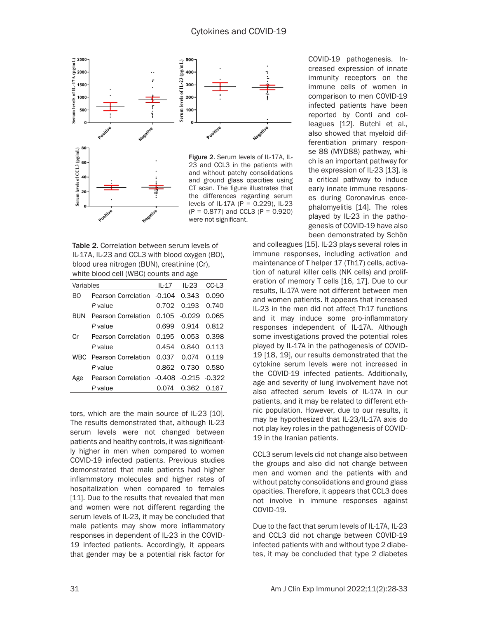

CT scan. The figure illustrates that the differences regarding serum levels of IL-17A (P = 0.229), IL-23  $(P = 0.877)$  and CCL3  $(P = 0.920)$ were not significant.

Table 2. Correlation between serum levels of IL-17A, IL-23 and CCL3 with blood oxygen (BO), blood urea nitrogen (BUN), creatinine (Cr), white blood cell (WBC) counts and age

| Variables  |                                          |             | $IL-17$ $IL-23$ | CC-L3 |
|------------|------------------------------------------|-------------|-----------------|-------|
| BΩ         | Pearson Correlation -0.104               |             | 0.343           | 0.090 |
|            | P value                                  | 0.702 0.193 |                 | 0.740 |
| <b>BUN</b> | Pearson Correlation 0.105                |             | -0.029          | 0.065 |
|            | P value                                  | 0.699       | 0.914           | 0.812 |
| Сr         | Pearson Correlation                      | 0.195       | 0.053           | 0.398 |
|            | P value                                  | 0.454       | 0.840           | 0.113 |
|            | WBC Pearson Correlation                  | 0.037       | 0.074           | 0.119 |
|            | P value                                  |             | 0.862 0.730     | 0.580 |
| Age        | Pearson Correlation -0.408 -0.215 -0.322 |             |                 |       |
|            | P value                                  | 0.074       | 0.362           | 0.167 |

tors, which are the main source of IL-23 [10]. The results demonstrated that, although IL-23 serum levels were not changed between patients and healthy controls, it was significantly higher in men when compared to women COVID-19 infected patients. Previous studies demonstrated that male patients had higher inflammatory molecules and higher rates of hospitalization when compared to females [11]. Due to the results that revealed that men and women were not different regarding the serum levels of IL-23, it may be concluded that male patients may show more inflammatory responses in dependent of IL-23 in the COVID-19 infected patients. Accordingly, it appears that gender may be a potential risk factor for COVID-19 pathogenesis. Increased expression of innate immunity receptors on the immune cells of women in comparison to men COVID-19 infected patients have been reported by Conti and colleagues [12]. Butchi et al., also showed that myeloid differentiation primary response 88 (MYD88) pathway, which is an important pathway for the expression of IL-23 [13], is a critical pathway to induce early innate immune responses during Coronavirus encephalomyelitis [14]. The roles played by IL-23 in the pathogenesis of COVID-19 have also been demonstrated by Schön

and colleagues [15]. IL-23 plays several roles in immune responses, including activation and maintenance of T helper 17 (Th17) cells, activation of natural killer cells (NK cells) and proliferation of memory T cells [16, 17]. Due to our results, IL-17A were not different between men and women patients. It appears that increased IL-23 in the men did not affect Th17 functions and it may induce some pro-inflammatory responses independent of IL-17A. Although some investigations proved the potential roles played by IL-17A in the pathogenesis of COVID-19 [18, 19], our results demonstrated that the cytokine serum levels were not increased in the COVID-19 infected patients. Additionally, age and severity of lung involvement have not also affected serum levels of IL-17A in our patients, and it may be related to different ethnic population. However, due to our results, it may be hypothesized that IL-23/IL-17A axis do not play key roles in the pathogenesis of COVID-19 in the Iranian patients.

CCL3 serum levels did not change also between the groups and also did not change between men and women and the patients with and without patchy consolidations and ground glass opacities. Therefore, it appears that CCL3 does not involve in immune responses against COVID-19.

Due to the fact that serum levels of IL-17A, IL-23 and CCL3 did not change between COVID-19 infected patients with and without type 2 diabetes, it may be concluded that type 2 diabetes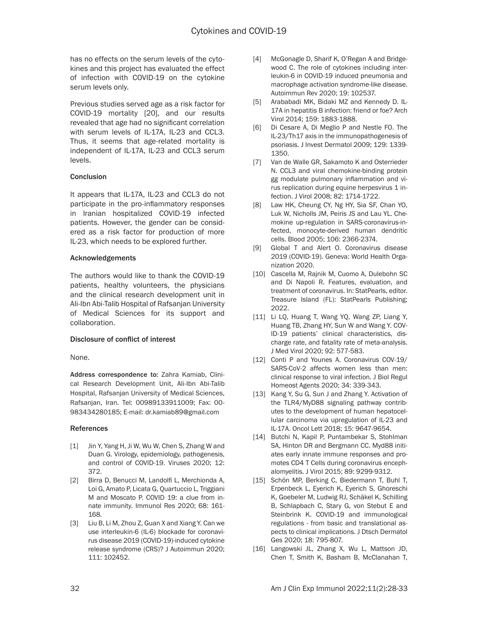has no effects on the serum levels of the cytokines and this project has evaluated the effect of infection with COVID-19 on the cytokine serum levels only.

Previous studies served age as a risk factor for COVID-19 mortality [20], and our results revealed that age had no significant correlation with serum levels of IL-17A, IL-23 and CCL3. Thus, it seems that age-related mortality is independent of IL-17A, IL-23 and CCL3 serum levels.

#### **Conclusion**

It appears that IL-17A, IL-23 and CCL3 do not participate in the pro-inflammatory responses in Iranian hospitalized COVID-19 infected patients. However, the gender can be considered as a risk factor for production of more IL-23, which needs to be explored further.

### Acknowledgements

The authors would like to thank the COVID-19 patients, healthy volunteers, the physicians and the clinical research development unit in Ali-Ibn Abi-Talib Hospital of Rafsanjan University of Medical Sciences for its support and collaboration.

# Disclosure of conflict of interest

None.

Address correspondence to: Zahra Kamiab, Clinical Research Development Unit, Ali-Ibn Abi-Talib Hospital, Rafsanjan University of Medical Sciences, Rafsanjan, Iran. Tel: 00989133911009; Fax: 00- 983434280185; E-mail: [dr.kamiab89@gmail.com](mailto:dr.kamiab89@gmail.com)

#### References

- [1] Jin Y, Yang H, Ji W, Wu W, Chen S, Zhang W and Duan G. Virology, epidemiology, pathogenesis, and control of COVID-19. Viruses 2020; 12: 372.
- [2] Birra D, Benucci M, Landolfi L, Merchionda A, Loi G, Amato P, Licata G, Quartuccio L, Triggiani M and Moscato P. COVID 19: a clue from innate immunity. Immunol Res 2020; 68: 161- 168.
- [3] Liu B, Li M, Zhou Z, Guan X and Xiang Y. Can we use interleukin-6 (IL-6) blockade for coronavirus disease 2019 (COVID-19)-induced cytokine release syndrome (CRS)? J Autoimmun 2020; 111: 102452.
- [4] McGonagle D, Sharif K, O'Regan A and Bridgewood C. The role of cytokines including interleukin-6 in COVID-19 induced pneumonia and macrophage activation syndrome-like disease. Autoimmun Rev 2020; 19: 102537.
- [5] Arababadi MK, Bidaki MZ and Kennedy D. IL-17A in hepatitis B infection: friend or foe? Arch Virol 2014; 159: 1883-1888.
- [6] Di Cesare A, Di Meglio P and Nestle FO. The IL-23/Th17 axis in the immunopathogenesis of psoriasis. J Invest Dermatol 2009; 129: 1339- 1350.
- [7] Van de Walle GR, Sakamoto K and Osterrieder N. CCL3 and viral chemokine-binding protein gg modulate pulmonary inflammation and virus replication during equine herpesvirus 1 infection. J Virol 2008; 82: 1714-1722.
- [8] Law HK, Cheung CY, Ng HY, Sia SF, Chan YO, Luk W, Nicholls JM, Peiris JS and Lau YL. Chemokine up-regulation in SARS-coronavirus-infected, monocyte-derived human dendritic cells. Blood 2005; 106: 2366-2374.
- [9] Global T and Alert O. Coronavirus disease 2019 (COVID-19). Geneva: World Health Organization 2020.
- [10] Cascella M, Rajnik M, Cuomo A, Dulebohn SC and Di Napoli R. Features, evaluation, and treatment of coronavirus. In: StatPearls, editor. Treasure Island (FL): StatPearls Publishing; 2022.
- [11] Li LQ, Huang T, Wang YQ, Wang ZP, Liang Y, Huang TB, Zhang HY, Sun W and Wang Y. COV-ID-19 patients' clinical characteristics, discharge rate, and fatality rate of meta-analysis. J Med Virol 2020; 92: 577-583.
- [12] Conti P and Younes A. Coronavirus COV-19/ SARS-CoV-2 affects women less than men: clinical response to viral infection. J Biol Regul Homeost Agents 2020; 34: 339-343.
- [13] Kang Y, Su G, Sun J and Zhang Y. Activation of the TLR4/MyD88 signaling pathway contributes to the development of human hepatocellular carcinoma via upregulation of IL-23 and IL-17A. Oncol Lett 2018; 15: 9647-9654.
- [14] Butchi N, Kapil P, Puntambekar S, Stohlman SA, Hinton DR and Bergmann CC. Myd88 initiates early innate immune responses and promotes CD4 T Cells during coronavirus encephalomyelitis. J Virol 2015; 89: 9299-9312.
- [15] Schön MP, Berking C, Biedermann T, Buhl T, Erpenbeck L, Eyerich K, Eyerich S, Ghoreschi K, Goebeler M, Ludwig RJ, Schäkel K, Schilling B, Schlapbach C, Stary G, von Stebut E and Steinbrink K. COVID-19 and immunological regulations - from basic and translational aspects to clinical implications. J Dtsch Dermatol Ges 2020; 18: 795-807.
- [16] Langowski JL, Zhang X, Wu L, Mattson JD, Chen T, Smith K, Basham B, McClanahan T,